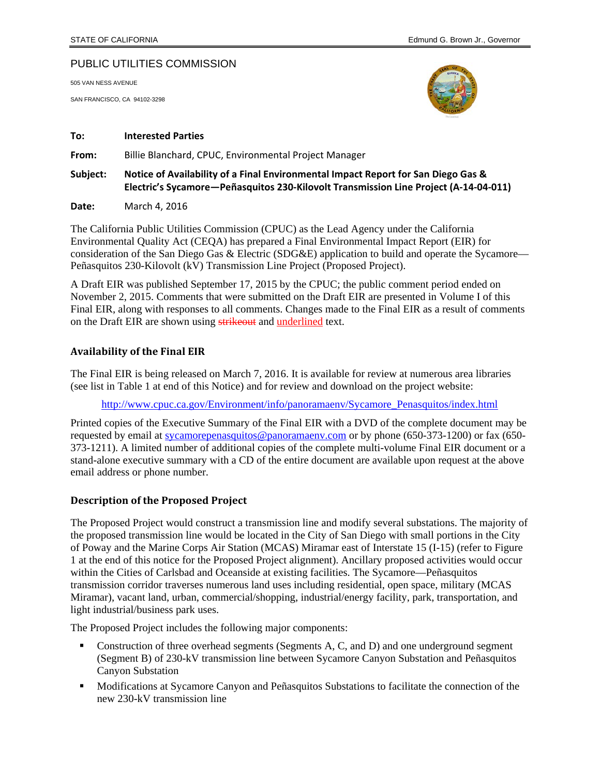### PUBLIC UTILITIES COMMISSION

505 VAN NESS AVENUE

SAN FRANCISCO, CA 94102-3298



#### **To: Interested Parties**

**From:** Billie Blanchard, CPUC, Environmental Project Manager

**Subject: Notice of Availability of a Final Environmental Impact Report for San Diego Gas & Electric's Sycamore—Peñasquitos 230‐Kilovolt Transmission Line Project (A‐14‐04‐011)**

**Date:** March 4, 2016

The California Public Utilities Commission (CPUC) as the Lead Agency under the California Environmental Quality Act (CEQA) has prepared a Final Environmental Impact Report (EIR) for consideration of the San Diego Gas & Electric (SDG&E) application to build and operate the Sycamore— Peñasquitos 230-Kilovolt (kV) Transmission Line Project (Proposed Project).

A Draft EIR was published September 17, 2015 by the CPUC; the public comment period ended on November 2, 2015. Comments that were submitted on the Draft EIR are presented in Volume I of this Final EIR, along with responses to all comments. Changes made to the Final EIR as a result of comments on the Draft EIR are shown using strikeout and underlined text.

#### **Availability of the Final EIR**

The Final EIR is being released on March 7, 2016. It is available for review at numerous area libraries (see list in Table 1 at end of this Notice) and for review and download on the project website:

http://www.cpuc.ca.gov/Environment/info/panoramaenv/Sycamore\_Penasquitos/index.html

Printed copies of the Executive Summary of the Final EIR with a DVD of the complete document may be requested by email at sycamorepenasquitos@panoramaenv.com or by phone (650-373-1200) or fax (650- 373-1211). A limited number of additional copies of the complete multi-volume Final EIR document or a stand-alone executive summary with a CD of the entire document are available upon request at the above email address or phone number.

#### **Description of the Proposed Project**

The Proposed Project would construct a transmission line and modify several substations. The majority of the proposed transmission line would be located in the City of San Diego with small portions in the City of Poway and the Marine Corps Air Station (MCAS) Miramar east of Interstate 15 (I-15) (refer to Figure 1 at the end of this notice for the Proposed Project alignment). Ancillary proposed activities would occur within the Cities of Carlsbad and Oceanside at existing facilities. The Sycamore—Peñasquitos transmission corridor traverses numerous land uses including residential, open space, military (MCAS Miramar), vacant land, urban, commercial/shopping, industrial/energy facility, park, transportation, and light industrial/business park uses.

The Proposed Project includes the following major components:

- Construction of three overhead segments (Segments A, C, and D) and one underground segment (Segment B) of 230-kV transmission line between Sycamore Canyon Substation and Peñasquitos Canyon Substation
- Modifications at Sycamore Canyon and Peñasquitos Substations to facilitate the connection of the new 230-kV transmission line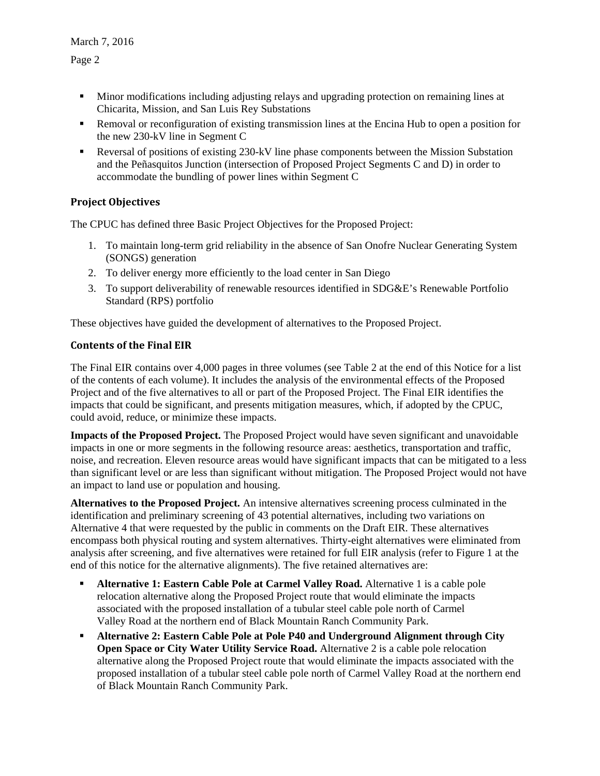- **Minor modifications including adjusting relays and upgrading protection on remaining lines at** Chicarita, Mission, and San Luis Rey Substations
- Removal or reconfiguration of existing transmission lines at the Encina Hub to open a position for the new 230-kV line in Segment C
- Reversal of positions of existing 230-kV line phase components between the Mission Substation and the Peñasquitos Junction (intersection of Proposed Project Segments C and D) in order to accommodate the bundling of power lines within Segment C

## **Project Objectives**

The CPUC has defined three Basic Project Objectives for the Proposed Project:

- 1. To maintain long-term grid reliability in the absence of San Onofre Nuclear Generating System (SONGS) generation
- 2. To deliver energy more efficiently to the load center in San Diego
- 3. To support deliverability of renewable resources identified in SDG&E's Renewable Portfolio Standard (RPS) portfolio

These objectives have guided the development of alternatives to the Proposed Project.

## **Contents of the Final EIR**

The Final EIR contains over 4,000 pages in three volumes (see Table 2 at the end of this Notice for a list of the contents of each volume). It includes the analysis of the environmental effects of the Proposed Project and of the five alternatives to all or part of the Proposed Project. The Final EIR identifies the impacts that could be significant, and presents mitigation measures, which, if adopted by the CPUC, could avoid, reduce, or minimize these impacts.

**Impacts of the Proposed Project.** The Proposed Project would have seven significant and unavoidable impacts in one or more segments in the following resource areas: aesthetics, transportation and traffic, noise, and recreation. Eleven resource areas would have significant impacts that can be mitigated to a less than significant level or are less than significant without mitigation. The Proposed Project would not have an impact to land use or population and housing.

**Alternatives to the Proposed Project.** An intensive alternatives screening process culminated in the identification and preliminary screening of 43 potential alternatives, including two variations on Alternative 4 that were requested by the public in comments on the Draft EIR. These alternatives encompass both physical routing and system alternatives. Thirty-eight alternatives were eliminated from analysis after screening, and five alternatives were retained for full EIR analysis (refer to Figure 1 at the end of this notice for the alternative alignments). The five retained alternatives are:

- **Alternative 1: Eastern Cable Pole at Carmel Valley Road.** Alternative 1 is a cable pole relocation alternative along the Proposed Project route that would eliminate the impacts associated with the proposed installation of a tubular steel cable pole north of Carmel Valley Road at the northern end of Black Mountain Ranch Community Park.
- **Alternative 2: Eastern Cable Pole at Pole P40 and Underground Alignment through City Open Space or City Water Utility Service Road.** Alternative 2 is a cable pole relocation alternative along the Proposed Project route that would eliminate the impacts associated with the proposed installation of a tubular steel cable pole north of Carmel Valley Road at the northern end of Black Mountain Ranch Community Park.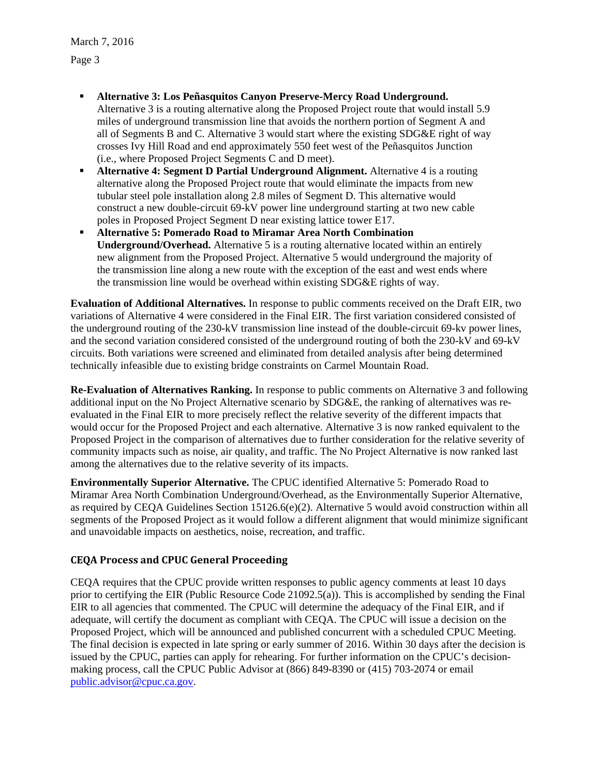March 7, 2016 Page 3

- **Alternative 3: Los Peñasquitos Canyon Preserve-Mercy Road Underground.** Alternative 3 is a routing alternative along the Proposed Project route that would install 5.9 miles of underground transmission line that avoids the northern portion of Segment A and all of Segments B and C. Alternative 3 would start where the existing SDG&E right of way crosses Ivy Hill Road and end approximately 550 feet west of the Peñasquitos Junction (i.e., where Proposed Project Segments C and D meet).
- **Alternative 4: Segment D Partial Underground Alignment.** Alternative 4 is a routing alternative along the Proposed Project route that would eliminate the impacts from new tubular steel pole installation along 2.8 miles of Segment D. This alternative would construct a new double-circuit 69-kV power line underground starting at two new cable poles in Proposed Project Segment D near existing lattice tower E17.
- **Alternative 5: Pomerado Road to Miramar Area North Combination Underground/Overhead.** Alternative 5 is a routing alternative located within an entirely new alignment from the Proposed Project. Alternative 5 would underground the majority of the transmission line along a new route with the exception of the east and west ends where the transmission line would be overhead within existing SDG&E rights of way.

**Evaluation of Additional Alternatives.** In response to public comments received on the Draft EIR, two variations of Alternative 4 were considered in the Final EIR. The first variation considered consisted of the underground routing of the 230-kV transmission line instead of the double-circuit 69-kv power lines, and the second variation considered consisted of the underground routing of both the 230-kV and 69-kV circuits. Both variations were screened and eliminated from detailed analysis after being determined technically infeasible due to existing bridge constraints on Carmel Mountain Road.

**Re-Evaluation of Alternatives Ranking.** In response to public comments on Alternative 3 and following additional input on the No Project Alternative scenario by SDG&E, the ranking of alternatives was reevaluated in the Final EIR to more precisely reflect the relative severity of the different impacts that would occur for the Proposed Project and each alternative. Alternative 3 is now ranked equivalent to the Proposed Project in the comparison of alternatives due to further consideration for the relative severity of community impacts such as noise, air quality, and traffic. The No Project Alternative is now ranked last among the alternatives due to the relative severity of its impacts.

**Environmentally Superior Alternative.** The CPUC identified Alternative 5: Pomerado Road to Miramar Area North Combination Underground/Overhead, as the Environmentally Superior Alternative, as required by CEQA Guidelines Section 15126.6(e)(2). Alternative 5 would avoid construction within all segments of the Proposed Project as it would follow a different alignment that would minimize significant and unavoidable impacts on aesthetics, noise, recreation, and traffic.

# **CEQA Process and CPUC General Proceeding**

CEQA requires that the CPUC provide written responses to public agency comments at least 10 days prior to certifying the EIR (Public Resource Code 21092.5(a)). This is accomplished by sending the Final EIR to all agencies that commented. The CPUC will determine the adequacy of the Final EIR, and if adequate, will certify the document as compliant with CEQA. The CPUC will issue a decision on the Proposed Project, which will be announced and published concurrent with a scheduled CPUC Meeting. The final decision is expected in late spring or early summer of 2016. Within 30 days after the decision is issued by the CPUC, parties can apply for rehearing. For further information on the CPUC's decisionmaking process, call the CPUC Public Advisor at (866) 849-8390 or (415) 703-2074 or email public.advisor@cpuc.ca.gov.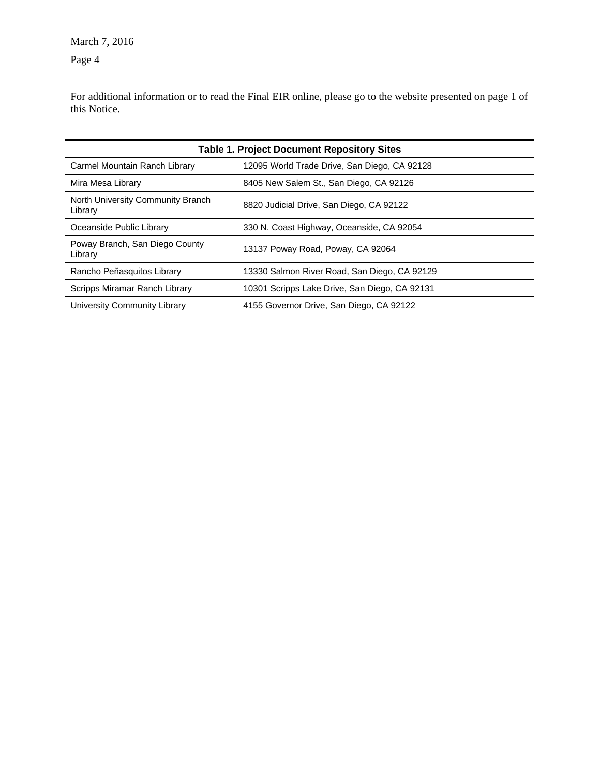March 7, 2016 Page 4

For additional information or to read the Final EIR online, please go to the website presented on page 1 of this Notice.

| <b>Table 1. Project Document Repository Sites</b> |                                               |  |
|---------------------------------------------------|-----------------------------------------------|--|
| Carmel Mountain Ranch Library                     | 12095 World Trade Drive, San Diego, CA 92128  |  |
| Mira Mesa Library                                 | 8405 New Salem St., San Diego, CA 92126       |  |
| North University Community Branch<br>Library      | 8820 Judicial Drive, San Diego, CA 92122      |  |
| Oceanside Public Library                          | 330 N. Coast Highway, Oceanside, CA 92054     |  |
| Poway Branch, San Diego County<br>Library         | 13137 Poway Road, Poway, CA 92064             |  |
| Rancho Peñasquitos Library                        | 13330 Salmon River Road, San Diego, CA 92129  |  |
| Scripps Miramar Ranch Library                     | 10301 Scripps Lake Drive, San Diego, CA 92131 |  |
| University Community Library                      | 4155 Governor Drive, San Diego, CA 92122      |  |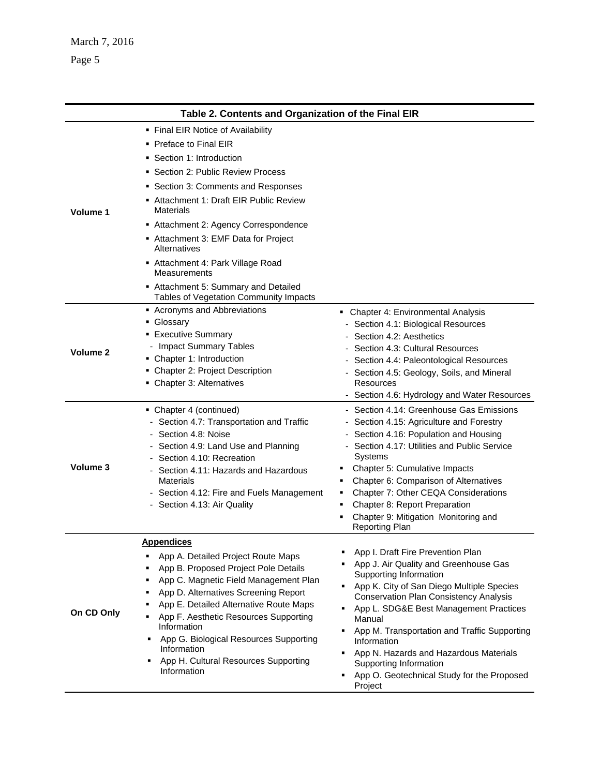| Table 2. Contents and Organization of the Final EIR |                                                                                                                                                                                                                                                                                                                                                                                                                                                                   |                                                                                                                                                                                                                                                                                                                                                                                                                                                                |
|-----------------------------------------------------|-------------------------------------------------------------------------------------------------------------------------------------------------------------------------------------------------------------------------------------------------------------------------------------------------------------------------------------------------------------------------------------------------------------------------------------------------------------------|----------------------------------------------------------------------------------------------------------------------------------------------------------------------------------------------------------------------------------------------------------------------------------------------------------------------------------------------------------------------------------------------------------------------------------------------------------------|
| Volume 1                                            | • Final EIR Notice of Availability<br>• Preface to Final EIR<br>• Section 1: Introduction<br>Section 2: Public Review Process<br>• Section 3: Comments and Responses<br>Attachment 1: Draft EIR Public Review<br><b>Materials</b><br>Attachment 2: Agency Correspondence<br>Attachment 3: EMF Data for Project<br>Alternatives<br>Attachment 4: Park Village Road<br>Measurements<br>Attachment 5: Summary and Detailed<br>Tables of Vegetation Community Impacts |                                                                                                                                                                                                                                                                                                                                                                                                                                                                |
| Volume 2                                            | Acronyms and Abbreviations<br>• Glossary<br><b>Executive Summary</b><br>- Impact Summary Tables<br>• Chapter 1: Introduction<br>• Chapter 2: Project Description<br>• Chapter 3: Alternatives                                                                                                                                                                                                                                                                     | • Chapter 4: Environmental Analysis<br>- Section 4.1: Biological Resources<br>Section 4.2: Aesthetics<br>Section 4.3: Cultural Resources<br>Section 4.4: Paleontological Resources<br>- Section 4.5: Geology, Soils, and Mineral<br>Resources<br>- Section 4.6: Hydrology and Water Resources                                                                                                                                                                  |
| Volume 3                                            | • Chapter 4 (continued)<br>- Section 4.7: Transportation and Traffic<br>- Section 4.8: Noise<br>- Section 4.9: Land Use and Planning<br>Section 4.10: Recreation<br>Section 4.11: Hazards and Hazardous<br><b>Materials</b><br>- Section 4.12: Fire and Fuels Management<br>- Section 4.13: Air Quality                                                                                                                                                           | - Section 4.14: Greenhouse Gas Emissions<br>- Section 4.15: Agriculture and Forestry<br>Section 4.16: Population and Housing<br>- Section 4.17: Utilities and Public Service<br>Systems<br>Chapter 5: Cumulative Impacts<br>Chapter 6: Comparison of Alternatives<br>٠<br>Chapter 7: Other CEQA Considerations<br>٠<br>Chapter 8: Report Preparation<br>٠<br>Chapter 9: Mitigation Monitoring and<br>٠<br><b>Reporting Plan</b>                                |
| On CD Only                                          | <b>Appendices</b><br>App A. Detailed Project Route Maps<br>App B. Proposed Project Pole Details<br>App C. Magnetic Field Management Plan<br>٠<br>App D. Alternatives Screening Report<br>٠<br>App E. Detailed Alternative Route Maps<br>App F. Aesthetic Resources Supporting<br>Information<br>App G. Biological Resources Supporting<br>٠<br>Information<br>App H. Cultural Resources Supporting<br>Information                                                 | App I. Draft Fire Prevention Plan<br>App J. Air Quality and Greenhouse Gas<br>Supporting Information<br>• App K. City of San Diego Multiple Species<br><b>Conservation Plan Consistency Analysis</b><br>App L. SDG&E Best Management Practices<br>٠<br>Manual<br>App M. Transportation and Traffic Supporting<br>Information<br>App N. Hazards and Hazardous Materials<br>Supporting Information<br>App O. Geotechnical Study for the Proposed<br>٠<br>Project |